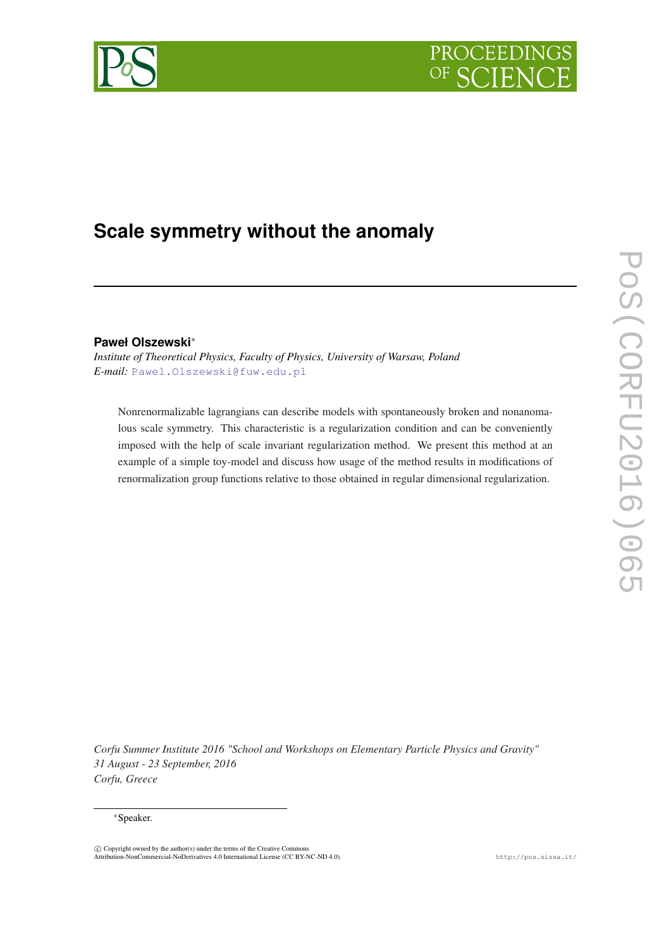# PROCEEDIN



# **Scale symmetry without the anomaly**

## **Paweł Olszewski**<sup>∗</sup>

*Institute of Theoretical Physics, Faculty of Physics, University of Warsaw, Poland E-mail:* [Pawel.Olszewski@fuw.edu.pl](mailto:Pawel.Olszewski@fuw.edu.pl)

Nonrenormalizable lagrangians can describe models with spontaneously broken and nonanomalous scale symmetry. This characteristic is a regularization condition and can be conveniently imposed with the help of scale invariant regularization method. We present this method at an example of a simple toy-model and discuss how usage of the method results in modifications of renormalization group functions relative to those obtained in regular dimensional regularization.

*Corfu Summer Institute 2016 "School and Workshops on Elementary Particle Physics and Gravity" 31 August - 23 September, 2016 Corfu, Greece*

#### <sup>∗</sup>Speaker.

 $\circled{c}$  Copyright owned by the author(s) under the terms of the Creative Commons Attribution-NonCommercial-NoDerivatives 4.0 International License (CC BY-NC-ND 4.0). http://pos.sissa.it/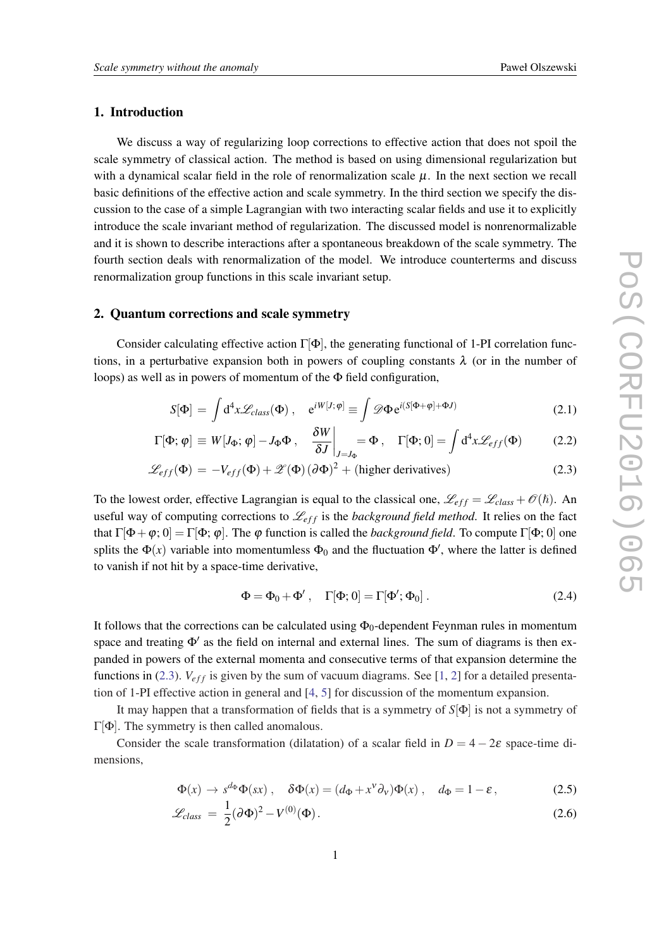#### <span id="page-1-0"></span>1. Introduction

We discuss a way of regularizing loop corrections to effective action that does not spoil the scale symmetry of classical action. The method is based on using dimensional regularization but with a dynamical scalar field in the role of renormalization scale  $\mu$ . In the next section we recall basic definitions of the effective action and scale symmetry. In the third section we specify the discussion to the case of a simple Lagrangian with two interacting scalar fields and use it to explicitly introduce the scale invariant method of regularization. The discussed model is nonrenormalizable and it is shown to describe interactions after a spontaneous breakdown of the scale symmetry. The fourth section deals with renormalization of the model. We introduce counterterms and discuss renormalization group functions in this scale invariant setup.

### 2. Quantum corrections and scale symmetry

Consider calculating effective action  $\Gamma[\Phi]$ , the generating functional of 1-PI correlation functions, in a perturbative expansion both in powers of coupling constants  $\lambda$  (or in the number of loops) as well as in powers of momentum of the Φ field configuration,

$$
S[\Phi] = \int d^4x \mathcal{L}_{class}(\Phi) , \quad e^{iW[J;\varphi]} \equiv \int \mathcal{D}\Phi e^{i(S[\Phi + \varphi] + \Phi J)} \tag{2.1}
$$

$$
\Gamma[\Phi; \varphi] \equiv W[J_{\Phi}; \varphi] - J_{\Phi}\Phi \,, \quad \frac{\delta W}{\delta J}\bigg|_{J=J_{\Phi}} = \Phi \,, \quad \Gamma[\Phi; 0] = \int d^4x \mathcal{L}_{eff}(\Phi) \tag{2.2}
$$

$$
\mathcal{L}_{eff}(\Phi) = -V_{eff}(\Phi) + \mathcal{Z}(\Phi)(\partial \Phi)^2 + \text{(higher derivatives)}
$$
\n(2.3)

To the lowest order, effective Lagrangian is equal to the classical one,  $\mathcal{L}_{eff} = \mathcal{L}_{class} + \mathcal{O}(\hbar)$ . An useful way of computing corrections to  $\mathcal{L}_{eff}$  is the *background field method*. It relies on the fact that  $\Gamma[\Phi+\varphi;0]=\Gamma[\Phi;\varphi]$ . The  $\varphi$  function is called the *background field*. To compute  $\Gamma[\Phi;0]$  one splits the  $\Phi(x)$  variable into momentumless  $\Phi_0$  and the fluctuation  $\Phi'$ , where the latter is defined to vanish if not hit by a space-time derivative,

$$
\Phi = \Phi_0 + \Phi', \quad \Gamma[\Phi; 0] = \Gamma[\Phi'; \Phi_0]. \tag{2.4}
$$

It follows that the corrections can be calculated using  $\Phi_0$ -dependent Feynman rules in momentum space and treating  $\Phi'$  as the field on internal and external lines. The sum of diagrams is then expanded in powers of the external momenta and consecutive terms of that expansion determine the functions in (2.3).  $V_{eff}$  is given by the sum of vacuum diagrams. See [\[1,](#page-7-0) [2\]](#page-7-0) for a detailed presentation of 1-PI effective action in general and [\[4,](#page-7-0) [5](#page-7-0)] for discussion of the momentum expansion.

It may happen that a transformation of fields that is a symmetry of *S*[Φ] is not a symmetry of  $Γ[Φ]$ . The symmetry is then called anomalous.

Consider the scale transformation (dilatation) of a scalar field in  $D = 4 - 2\varepsilon$  space-time dimensions,

$$
\Phi(x) \to s^{d_{\Phi}} \Phi(sx) , \quad \delta \Phi(x) = (d_{\Phi} + x^{\nu} \partial_{\nu}) \Phi(x) , \quad d_{\Phi} = 1 - \varepsilon , \tag{2.5}
$$

$$
\mathcal{L}_{class} = \frac{1}{2} (\partial \Phi)^2 - V^{(0)}(\Phi). \tag{2.6}
$$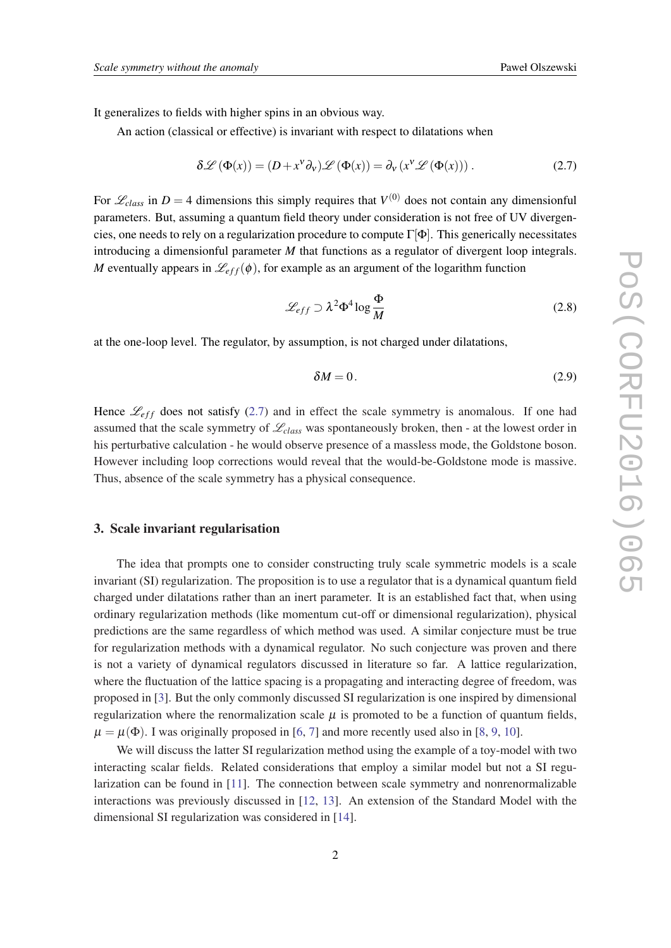It generalizes to fields with higher spins in an obvious way.

An action (classical or effective) is invariant with respect to dilatations when

$$
\delta \mathcal{L} \left( \Phi(x) \right) = (D + x^{\nu} \partial_{\nu}) \mathcal{L} \left( \Phi(x) \right) = \partial_{\nu} \left( x^{\nu} \mathcal{L} \left( \Phi(x) \right) \right). \tag{2.7}
$$

For  $\mathcal{L}_{class}$  in  $D = 4$  dimensions this simply requires that  $V^{(0)}$  does not contain any dimensionful parameters. But, assuming a quantum field theory under consideration is not free of UV divergencies, one needs to rely on a regularization procedure to compute  $\Gamma[\Phi]$ . This generically necessitates introducing a dimensionful parameter *M* that functions as a regulator of divergent loop integrals. *M* eventually appears in  $\mathcal{L}_{eff}(\phi)$ , for example as an argument of the logarithm function

$$
\mathcal{L}_{eff} \supset \lambda^2 \Phi^4 \log \frac{\Phi}{M} \tag{2.8}
$$

at the one-loop level. The regulator, by assumption, is not charged under dilatations,

$$
\delta M = 0. \tag{2.9}
$$

Hence  $\mathcal{L}_{eff}$  does not satisfy (2.7) and in effect the scale symmetry is anomalous. If one had assumed that the scale symmetry of  $\mathcal{L}_{class}$  was spontaneously broken, then - at the lowest order in his perturbative calculation - he would observe presence of a massless mode, the Goldstone boson. However including loop corrections would reveal that the would-be-Goldstone mode is massive. Thus, absence of the scale symmetry has a physical consequence.

#### 3. Scale invariant regularisation

The idea that prompts one to consider constructing truly scale symmetric models is a scale invariant (SI) regularization. The proposition is to use a regulator that is a dynamical quantum field charged under dilatations rather than an inert parameter. It is an established fact that, when using ordinary regularization methods (like momentum cut-off or dimensional regularization), physical predictions are the same regardless of which method was used. A similar conjecture must be true for regularization methods with a dynamical regulator. No such conjecture was proven and there is not a variety of dynamical regulators discussed in literature so far. A lattice regularization, where the fluctuation of the lattice spacing is a propagating and interacting degree of freedom, was proposed in [\[3\]](#page-7-0). But the only commonly discussed SI regularization is one inspired by dimensional regularization where the renormalization scale  $\mu$  is promoted to be a function of quantum fields,  $\mu = \mu(\Phi)$ . I was originally proposed in [\[6,](#page-7-0) [7\]](#page-7-0) and more recently used also in [\[8,](#page-7-0) [9,](#page-7-0) [10\]](#page-7-0).

We will discuss the latter SI regularization method using the example of a toy-model with two interacting scalar fields. Related considerations that employ a similar model but not a SI regularization can be found in [[11\]](#page-7-0). The connection between scale symmetry and nonrenormalizable interactions was previously discussed in [[12,](#page-7-0) [13\]](#page-7-0). An extension of the Standard Model with the dimensional SI regularization was considered in [\[14](#page-7-0)].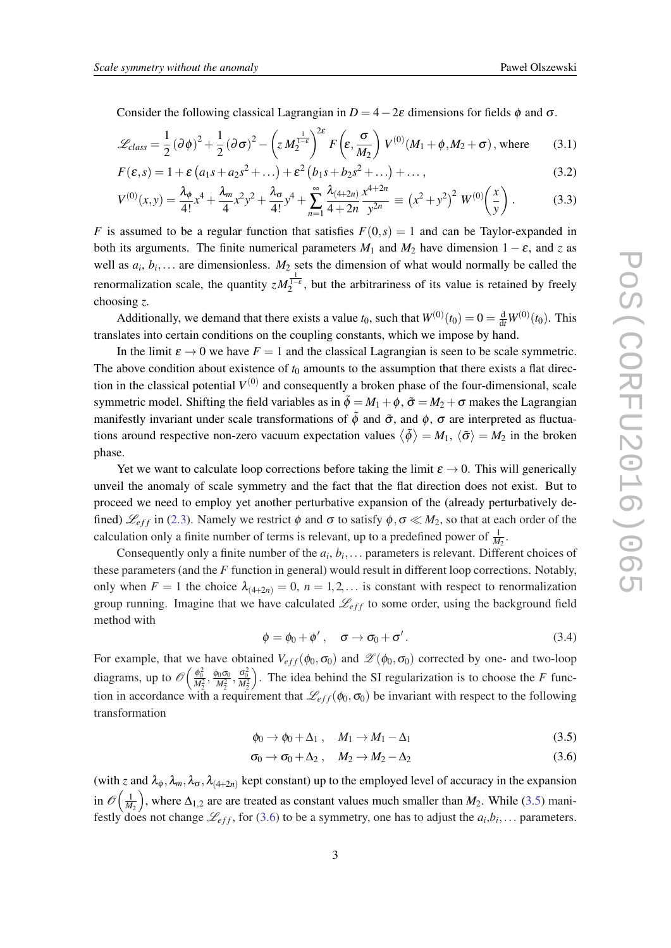<span id="page-3-0"></span>Consider the following classical Lagrangian in  $D = 4-2\varepsilon$  dimensions for fields  $\phi$  and  $\sigma$ .

$$
\mathcal{L}_{class} = \frac{1}{2} (\partial \phi)^2 + \frac{1}{2} (\partial \sigma)^2 - \left( z M_2^{\frac{1}{1-\epsilon}} \right)^{2\epsilon} F \left( \epsilon, \frac{\sigma}{M_2} \right) V^{(0)}(M_1 + \phi, M_2 + \sigma), \text{ where } (3.1)
$$

$$
F(\varepsilon, s) = 1 + \varepsilon (a_1 s + a_2 s^2 + \dots) + \varepsilon^2 (b_1 s + b_2 s^2 + \dots) + \dots,
$$
\n(3.2)

$$
V^{(0)}(x,y) = \frac{\lambda_{\phi}}{4!}x^4 + \frac{\lambda_m}{4}x^2y^2 + \frac{\lambda_{\sigma}}{4!}y^4 + \sum_{n=1}^{\infty} \frac{\lambda_{(4+2n)}}{4+2n} \frac{x^{4+2n}}{y^{2n}} = (x^2 + y^2)^2 W^{(0)}\left(\frac{x}{y}\right). \tag{3.3}
$$

*F* is assumed to be a regular function that satisfies  $F(0,s) = 1$  and can be Taylor-expanded in both its arguments. The finite numerical parameters  $M_1$  and  $M_2$  have dimension  $1 - \varepsilon$ , and *z* as well as  $a_i, b_i, \ldots$  are dimensionless.  $M_2$  sets the dimension of what would normally be called the renormalization scale, the quantity  $zM_2^{\frac{1}{1-\epsilon}}$ , but the arbitrariness of its value is retained by freely choosing *z*.

Additionally, we demand that there exists a value  $t_0$ , such that  $W^{(0)}(t_0) = 0 = \frac{d}{dt}W^{(0)}(t_0)$ . This translates into certain conditions on the coupling constants, which we impose by hand.

In the limit  $\varepsilon \to 0$  we have  $F = 1$  and the classical Lagrangian is seen to be scale symmetric. The above condition about existence of  $t_0$  amounts to the assumption that there exists a flat direction in the classical potential  $V^{(0)}$  and consequently a broken phase of the four-dimensional, scale symmetric model. Shifting the field variables as in  $\tilde{\phi} = M_1 + \phi$ ,  $\tilde{\sigma} = M_2 + \sigma$  makes the Lagrangian manifestly invariant under scale transformations of  $\tilde{\phi}$  and  $\tilde{\sigma}$ , and  $\phi$ ,  $\sigma$  are interpreted as fluctuations around respective non-zero vacuum expectation values  $\langle \tilde{\phi} \rangle = M_1$ ,  $\langle \tilde{\sigma} \rangle = M_2$  in the broken phase.

Yet we want to calculate loop corrections before taking the limit  $\varepsilon \to 0$ . This will generically unveil the anomaly of scale symmetry and the fact that the flat direction does not exist. But to proceed we need to employ yet another perturbative expansion of the (already perturbatively defined)  $\mathcal{L}_{eff}$  in ([2.3](#page-1-0)). Namely we restrict  $\phi$  and  $\sigma$  to satisfy  $\phi, \sigma \ll M_2$ , so that at each order of the calculation only a finite number of terms is relevant, up to a predefined power of  $\frac{1}{M_2}$ .

Consequently only a finite number of the  $a_i, b_i, \ldots$  parameters is relevant. Different choices of these parameters (and the *F* function in general) would result in different loop corrections. Notably, only when  $F = 1$  the choice  $\lambda_{(4+2n)} = 0$ ,  $n = 1, 2, \dots$  is constant with respect to renormalization group running. Imagine that we have calculated  $\mathcal{L}_{eff}$  to some order, using the background field method with

$$
\phi = \phi_0 + \phi', \quad \sigma \to \sigma_0 + \sigma'.
$$
\n(3.4)

For example, that we have obtained  $V_{eff}(\phi_0, \sigma_0)$  and  $\mathscr{Z}(\phi_0, \sigma_0)$  corrected by one- and two-loop diagrams, up to  $\mathscr{O}\left(\frac{\phi_0^2}{M_2^2}, \frac{\phi_0 \sigma_0}{M_2^2}, \frac{\sigma_0^2}{M_2^2}\right)$ tion in accordance with a requirement that  $\mathcal{L}_{eff}(\phi_0, \sigma_0)$  be invariant with respect to the following . The idea behind the SI regularization is to choose the *F* functransformation

$$
\phi_0 \to \phi_0 + \Delta_1 \;, \quad M_1 \to M_1 - \Delta_1 \tag{3.5}
$$

$$
\sigma_0 \to \sigma_0 + \Delta_2 \ , \quad M_2 \to M_2 - \Delta_2 \tag{3.6}
$$

(with *z* and  $\lambda_{\phi}$ ,  $\lambda_{m}$ ,  $\lambda_{\sigma}$ ,  $\lambda_{(4+2n)}$  kept constant) up to the employed level of accuracy in the expansion in  $\mathscr{O}\Big(\frac{1}{M_2}$ ), where  $\Delta_{1,2}$  are are treated as constant values much smaller than  $M_2$ . While (3.5) manifestly does not change  $\mathcal{L}_{eff}$ , for (3.6) to be a symmetry, one has to adjust the  $a_i, b_i, \ldots$  parameters.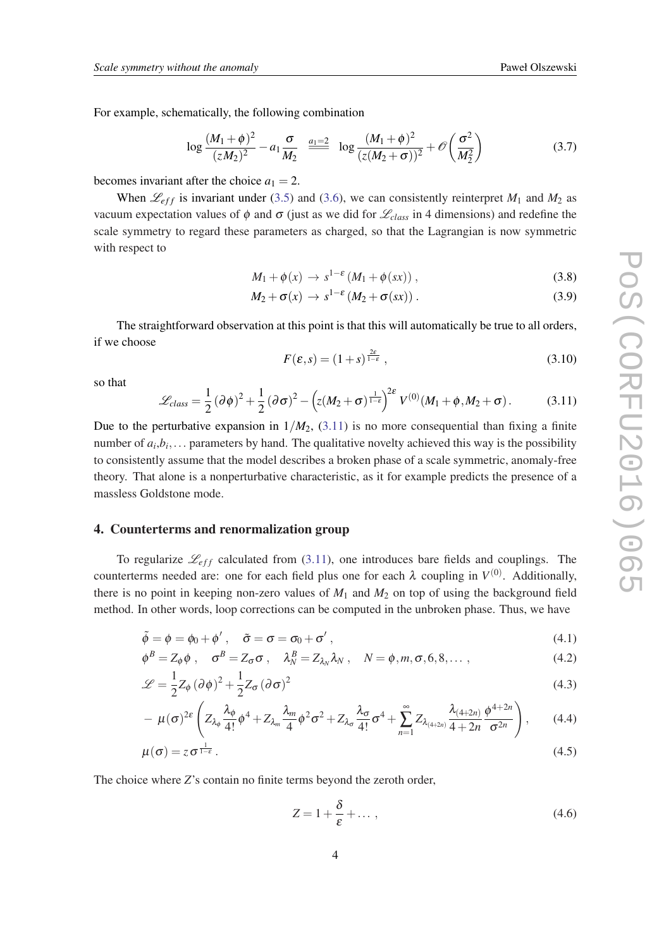<span id="page-4-0"></span>For example, schematically, the following combination

$$
\log \frac{(M_1 + \phi)^2}{(zM_2)^2} - a_1 \frac{\sigma}{M_2} \stackrel{a_1 = 2}{\equiv} \log \frac{(M_1 + \phi)^2}{(z(M_2 + \sigma))^2} + \mathcal{O}\left(\frac{\sigma^2}{M_2^2}\right)
$$
(3.7)

becomes invariant after the choice  $a_1 = 2$ .

When  $\mathcal{L}_{eff}$  is invariant under [\(3.5](#page-3-0)) and [\(3.6\)](#page-3-0), we can consistently reinterpret  $M_1$  and  $M_2$  as vacuum expectation values of φ and σ (just as we did for L*class* in 4 dimensions) and redefine the scale symmetry to regard these parameters as charged, so that the Lagrangian is now symmetric with respect to

$$
M_1 + \phi(x) \to s^{1-\epsilon} \left( M_1 + \phi(sx) \right), \tag{3.8}
$$

$$
M_2 + \sigma(x) \to s^{1-\epsilon} (M_2 + \sigma(sx)) \,. \tag{3.9}
$$

The straightforward observation at this point is that this will automatically be true to all orders, if we choose

$$
F(\varepsilon, s) = (1+s)^{\frac{2\varepsilon}{1-\varepsilon}}, \tag{3.10}
$$

so that

$$
\mathcal{L}_{class} = \frac{1}{2} (\partial \phi)^2 + \frac{1}{2} (\partial \sigma)^2 - \left( z(M_2 + \sigma)^{\frac{1}{1-\epsilon}} \right)^{2\epsilon} V^{(0)}(M_1 + \phi, M_2 + \sigma).
$$
 (3.11)

Due to the perturbative expansion in  $1/M_2$ ,  $(3.11)$  is no more consequential than fixing a finite number of  $a_i, b_i, \ldots$  parameters by hand. The qualitative novelty achieved this way is the possibility to consistently assume that the model describes a broken phase of a scale symmetric, anomaly-free theory. That alone is a nonperturbative characteristic, as it for example predicts the presence of a massless Goldstone mode.

#### 4. Counterterms and renormalization group

To regularize  $\mathcal{L}_{eff}$  calculated from (3.11), one introduces bare fields and couplings. The counterterms needed are: one for each field plus one for each  $\lambda$  coupling in  $V^{(0)}$ . Additionally, there is no point in keeping non-zero values of  $M_1$  and  $M_2$  on top of using the background field method. In other words, loop corrections can be computed in the unbroken phase. Thus, we have

$$
\tilde{\phi} = \phi = \phi_0 + \phi', \quad \tilde{\sigma} = \sigma = \sigma_0 + \sigma', \tag{4.1}
$$

$$
\phi^B = Z_{\phi}\phi \; , \quad \sigma^B = Z_{\sigma}\sigma \; , \quad \lambda_N^B = Z_{\lambda_N}\lambda_N \; , \quad N = \phi, m, \sigma, 6, 8, \dots \; , \tag{4.2}
$$

$$
\mathcal{L} = \frac{1}{2} Z_{\phi} (\partial \phi)^2 + \frac{1}{2} Z_{\sigma} (\partial \sigma)^2
$$
\n(4.3)

$$
- \mu(\sigma)^{2\epsilon} \left( Z_{\lambda_{\phi}} \frac{\lambda_{\phi}}{4!} \phi^4 + Z_{\lambda_m} \frac{\lambda_m}{4} \phi^2 \sigma^2 + Z_{\lambda_{\sigma}} \frac{\lambda_{\sigma}}{4!} \sigma^4 + \sum_{n=1}^{\infty} Z_{\lambda_{(4+2n)}} \frac{\lambda_{(4+2n)}}{4+2n} \frac{\phi^{4+2n}}{\sigma^{2n}} \right), \quad (4.4)
$$

$$
\mu(\sigma) = z \sigma^{\frac{1}{1-\epsilon}}.
$$
\n(4.5)

The choice where *Z*'s contain no finite terms beyond the zeroth order,

$$
Z = 1 + \frac{\delta}{\varepsilon} + \dots \,,\tag{4.6}
$$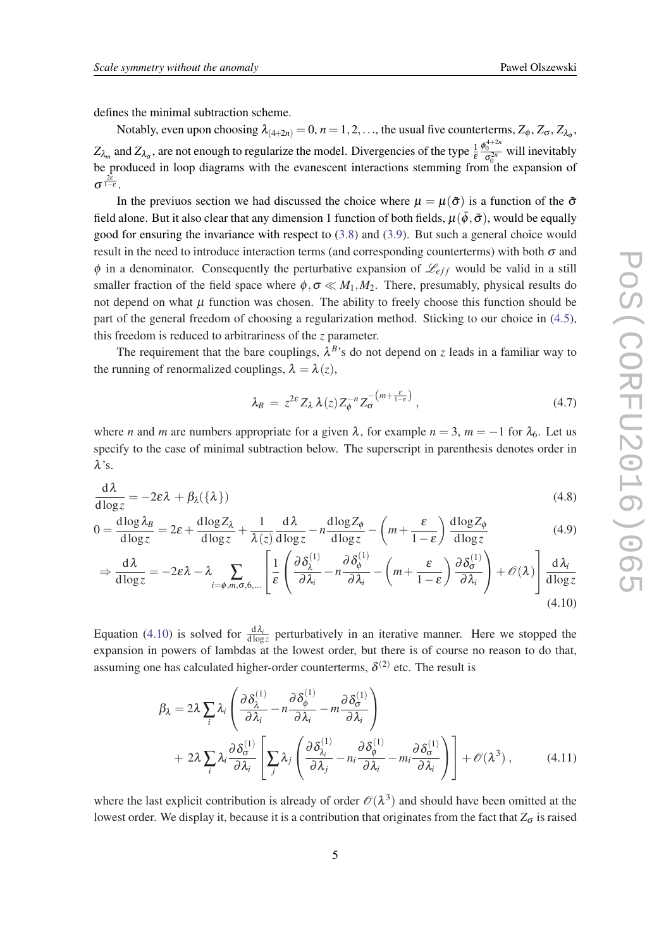<span id="page-5-0"></span>defines the minimal subtraction scheme.

Notably, even upon choosing  $\lambda_{(4+2n)} = 0$ ,  $n = 1, 2, \ldots$ , the usual five counterterms,  $Z_{\phi}$ ,  $Z_{\sigma}$ ,  $Z_{\lambda_{\phi}}$ ,  $Z_{\lambda_m}$  and  $Z_{\lambda_{\sigma}}$ , are not enough to regularize the model. Divergencies of the type  $\frac{1}{\varepsilon}$  $\frac{\phi_0^{4+2n}}{\sigma_0^{2n}}$  will inevitably be produced in loop diagrams with the evanescent interactions stemming from the expansion of  $\sigma^{\frac{2\varepsilon}{1-\varepsilon}}.$ 

In the previuos section we had discussed the choice where  $\mu = \mu(\tilde{\sigma})$  is a function of the  $\tilde{\sigma}$ field alone. But it also clear that any dimension 1 function of both fields,  $\mu(\tilde{\phi}, \tilde{\sigma})$ , would be equally good for ensuring the invariance with respect to ([3.8](#page-4-0)) and ([3.9](#page-4-0)). But such a general choice would result in the need to introduce interaction terms (and corresponding counterterms) with both  $\sigma$  and  $\phi$  in a denominator. Consequently the perturbative expansion of  $\mathcal{L}_{eff}$  would be valid in a still smaller fraction of the field space where  $\phi, \sigma \ll M_1, M_2$ . There, presumably, physical results do not depend on what  $\mu$  function was chosen. The ability to freely choose this function should be part of the general freedom of choosing a regularization method. Sticking to our choice in ([4.5\)](#page-4-0), this freedom is reduced to arbitrariness of the *z* parameter.

The requirement that the bare couplings,  $\lambda^{B}$ 's do not depend on *z* leads in a familiar way to the running of renormalized couplings,  $\lambda = \lambda(z)$ ,

$$
\lambda_B = z^{2\varepsilon} Z_\lambda \lambda(z) Z_\phi^{-n} Z_\sigma^{-\left(m + \frac{\varepsilon}{1 - \varepsilon}\right)}, \qquad (4.7)
$$

where *n* and *m* are numbers appropriate for a given  $\lambda$ , for example  $n = 3$ ,  $m = -1$  for  $\lambda_6$ . Let us specify to the case of minimal subtraction below. The superscript in parenthesis denotes order in  $\lambda$ 's.

$$
\frac{\mathrm{d}\lambda}{\mathrm{d}\log z} = -2\varepsilon\lambda + \beta_{\lambda}(\{\lambda\})\tag{4.8}
$$

$$
0 = \frac{d \log \lambda_B}{d \log z} = 2\varepsilon + \frac{d \log Z_\lambda}{d \log z} + \frac{1}{\lambda(z)} \frac{d \lambda}{d \log z} - n \frac{d \log Z_\phi}{d \log z} - \left(m + \frac{\varepsilon}{1 - \varepsilon}\right) \frac{d \log Z_\phi}{d \log z}
$$
(4.9)

$$
\Rightarrow \frac{\mathrm{d}\lambda}{\mathrm{d}\log z} = -2\varepsilon\lambda - \lambda \sum_{i=\phi,m,\sigma,6,\dots} \left[ \frac{1}{\varepsilon} \left( \frac{\partial \delta_{\lambda}^{(1)}}{\partial \lambda_i} - n \frac{\partial \delta_{\phi}^{(1)}}{\partial \lambda_i} - \left( m + \frac{\varepsilon}{1-\varepsilon} \right) \frac{\partial \delta_{\sigma}^{(1)}}{\partial \lambda_i} \right) + \mathcal{O}(\lambda) \right] \frac{\mathrm{d}\lambda_i}{\mathrm{d}\log z} \tag{4.10}
$$

Equation (4.10) is solved for  $\frac{d\lambda_i}{d\log z}$  perturbatively in an iterative manner. Here we stopped the expansion in powers of lambdas at the lowest order, but there is of course no reason to do that, assuming one has calculated higher-order counterterms,  $\delta^{(2)}$  etc. The result is

$$
\beta_{\lambda} = 2\lambda \sum_{i} \lambda_{i} \left( \frac{\partial \delta_{\lambda}^{(1)}}{\partial \lambda_{i}} - n \frac{\partial \delta_{\phi}^{(1)}}{\partial \lambda_{i}} - m \frac{\partial \delta_{\sigma}^{(1)}}{\partial \lambda_{i}} \right) + 2\lambda \sum_{i} \lambda_{i} \frac{\partial \delta_{\sigma}^{(1)}}{\partial \lambda_{i}} \left[ \sum_{j} \lambda_{j} \left( \frac{\partial \delta_{\lambda_{i}}^{(1)}}{\partial \lambda_{j}} - n_{i} \frac{\partial \delta_{\phi}^{(1)}}{\partial \lambda_{i}} - m_{i} \frac{\partial \delta_{\sigma}^{(1)}}{\partial \lambda_{i}} \right) \right] + \mathcal{O}(\lambda^{3}), \qquad (4.11)
$$

where the last explicit contribution is already of order  $\mathcal{O}(\lambda^3)$  and should have been omitted at the lowest order. We display it, because it is a contribution that originates from the fact that  $Z_{\sigma}$  is raised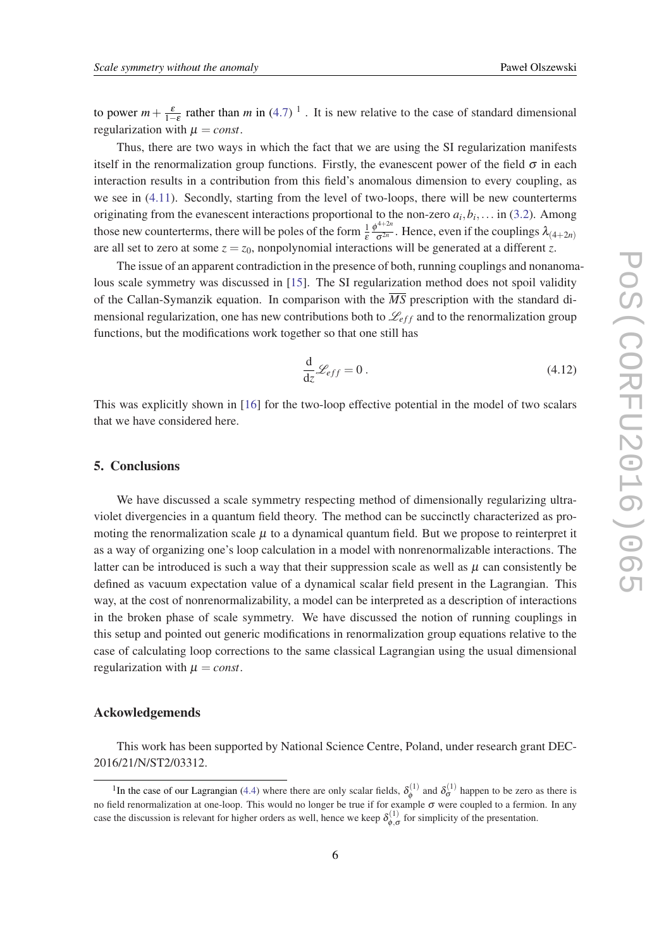to power  $m + \frac{\varepsilon}{1-\varepsilon}$  rather than *m* in [\(4.7](#page-5-0))<sup>1</sup>. It is new relative to the case of standard dimensional regularization with  $\mu = const.$ 

Thus, there are two ways in which the fact that we are using the SI regularization manifests itself in the renormalization group functions. Firstly, the evanescent power of the field  $\sigma$  in each interaction results in a contribution from this field's anomalous dimension to every coupling, as we see in [\(4.11\)](#page-5-0). Secondly, starting from the level of two-loops, there will be new counterterms originating from the evanescent interactions proportional to the non-zero  $a_i, b_i, \ldots$  in ([3.2\)](#page-3-0). Among those new counterterms, there will be poles of the form  $\frac{1}{\varepsilon}$  $\phi^{4+2n}$  $\frac{\partial}{\partial \sigma^{2n}}$ . Hence, even if the couplings  $\lambda_{(4+2n)}$ are all set to zero at some  $z = z_0$ , nonpolynomial interactions will be generated at a different *z*.

The issue of an apparent contradiction in the presence of both, running couplings and nonanomalous scale symmetry was discussed in [[15\]](#page-7-0). The SI regularization method does not spoil validity of the Callan-Symanzik equation. In comparison with the *MS* prescription with the standard dimensional regularization, one has new contributions both to  $\mathcal{L}_{eff}$  and to the renormalization group functions, but the modifications work together so that one still has

$$
\frac{\mathrm{d}}{\mathrm{d}z}\mathcal{L}_{eff} = 0\,. \tag{4.12}
$$

This was explicitly shown in [\[16\]](#page-7-0) for the two-loop effective potential in the model of two scalars that we have considered here.

#### 5. Conclusions

We have discussed a scale symmetry respecting method of dimensionally regularizing ultraviolet divergencies in a quantum field theory. The method can be succinctly characterized as promoting the renormalization scale  $\mu$  to a dynamical quantum field. But we propose to reinterpret it as a way of organizing one's loop calculation in a model with nonrenormalizable interactions. The latter can be introduced is such a way that their suppression scale as well as  $\mu$  can consistently be defined as vacuum expectation value of a dynamical scalar field present in the Lagrangian. This way, at the cost of nonrenormalizability, a model can be interpreted as a description of interactions in the broken phase of scale symmetry. We have discussed the notion of running couplings in this setup and pointed out generic modifications in renormalization group equations relative to the case of calculating loop corrections to the same classical Lagrangian using the usual dimensional regularization with  $\mu = const.$ 

#### Ackowledgemends

This work has been supported by National Science Centre, Poland, under research grant DEC-2016/21/N/ST2/03312.

<sup>&</sup>lt;sup>1</sup>In the case of our Lagrangian [\(4.4](#page-4-0)) where there are only scalar fields,  $\delta_{\phi}^{(1)}$  $\delta_{\phi}^{(1)}$  and  $\delta_{\sigma}^{(1)}$  happen to be zero as there is no field renormalization at one-loop. This would no longer be true if for example σ were coupled to a fermion. In any case the discussion is relevant for higher orders as well, hence we keep  $\delta_{\phi,\sigma}^{(1)}$  for simplicity of the presentation.